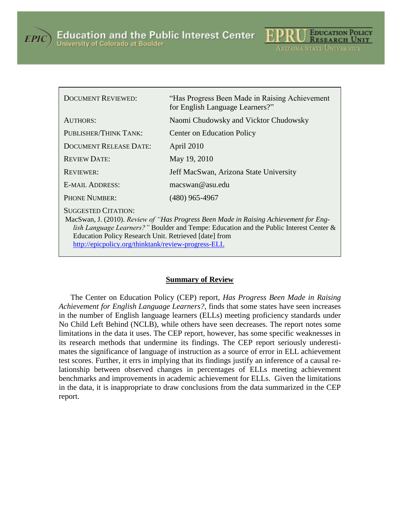



| <b>DOCUMENT REVIEWED:</b>                                                                                                                                                                                                                                                                                                             | "Has Progress Been Made in Raising Achievement"<br>for English Language Learners?" |
|---------------------------------------------------------------------------------------------------------------------------------------------------------------------------------------------------------------------------------------------------------------------------------------------------------------------------------------|------------------------------------------------------------------------------------|
| AUTHORS:                                                                                                                                                                                                                                                                                                                              | Naomi Chudowsky and Vicktor Chudowsky                                              |
| PUBLISHER/THINK TANK:                                                                                                                                                                                                                                                                                                                 | <b>Center on Education Policy</b>                                                  |
| <b>DOCUMENT RELEASE DATE:</b>                                                                                                                                                                                                                                                                                                         | April 2010                                                                         |
| <b>REVIEW DATE:</b>                                                                                                                                                                                                                                                                                                                   | May 19, 2010                                                                       |
| <b>REVIEWER:</b>                                                                                                                                                                                                                                                                                                                      | Jeff MacSwan, Arizona State University                                             |
| <b>E-MAIL ADDRESS:</b>                                                                                                                                                                                                                                                                                                                | macswan@asu.edu                                                                    |
| <b>PHONE NUMBER:</b>                                                                                                                                                                                                                                                                                                                  | $(480)$ 965-4967                                                                   |
| <b>SUGGESTED CITATION:</b><br>MacSwan, J. (2010). Review of "Has Progress Been Made in Raising Achievement for Eng-<br><i>lish Language Learners?</i> " Boulder and Tempe: Education and the Public Interest Center &<br>Education Policy Research Unit. Retrieved [date] from<br>http://epicpolicy.org/thinktank/review-progress-ELL |                                                                                    |

#### **Summary of Review**

The Center on Education Policy (CEP) report, *Has Progress Been Made in Raising Achievement for English Language Learners?*, finds that some states have seen increases in the number of English language learners (ELLs) meeting proficiency standards under No Child Left Behind (NCLB), while others have seen decreases. The report notes some limitations in the data it uses. The CEP report, however, has some specific weaknesses in its research methods that undermine its findings. The CEP report seriously underestimates the significance of language of instruction as a source of error in ELL achievement test scores. Further, it errs in implying that its findings justify an inference of a causal relationship between observed changes in percentages of ELLs meeting achievement benchmarks and improvements in academic achievement for ELLs. Given the limitations in the data, it is inappropriate to draw conclusions from the data summarized in the CEP report.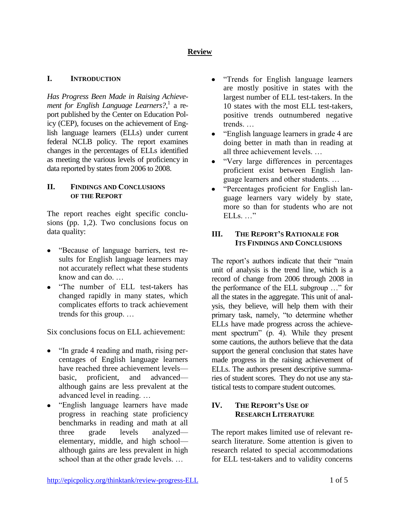# **Review**

## **I. INTRODUCTION**

*Has Progress Been Made in Raising Achievement for English Language Learners?*, 1 a report published by the Center on Education Policy (CEP), focuses on the achievement of English language learners (ELLs) under current federal NCLB policy. The report examines changes in the percentages of ELLs identified as meeting the various levels of proficiency in data reported by states from 2006 to 2008.

### **II. FINDINGS AND CONCLUSIONS OF THE REPORT**

The report reaches eight specific conclusions (pp. 1,2). Two conclusions focus on data quality:

- "Because of language barriers, test results for English language learners may not accurately reflect what these students know and can do. …
- "The number of ELL test-takers has changed rapidly in many states, which complicates efforts to track achievement trends for this group. …

Six conclusions focus on ELL achievement:

- "In grade 4 reading and math, rising percentages of English language learners have reached three achievement levels basic, proficient, and advanced although gains are less prevalent at the advanced level in reading. …
- "English language learners have made progress in reaching state proficiency benchmarks in reading and math at all three grade levels analyzed elementary, middle, and high school although gains are less prevalent in high school than at the other grade levels. …
- "Trends for English language learners  $\bullet$ are mostly positive in states with the largest number of ELL test-takers. In the 10 states with the most ELL test-takers, positive trends outnumbered negative trends. …
- "English language learners in grade 4 are  $\bullet$ doing better in math than in reading at all three achievement levels. …
- $\bullet$ "Very large differences in percentages proficient exist between English language learners and other students. …
- "Percentages proficient for English lan- $\bullet$ guage learners vary widely by state, more so than for students who are not  $ELLs$ .  $\cdots$ "

## **III. THE REPORT'S RATIONALE FOR ITS FINDINGS AND CONCLUSIONS**

The report's authors indicate that their "main unit of analysis is the trend line, which is a record of change from 2006 through 2008 in the performance of the ELL subgroup …" for all the states in the aggregate. This unit of analysis, they believe, will help them with their primary task, namely, "to determine whether ELLs have made progress across the achievement spectrum" (p. 4). While they present some cautions, the authors believe that the data support the general conclusion that states have made progress in the raising achievement of ELLs. The authors present descriptive summaries of student scores. They do not use any statistical tests to compare student outcomes.

## **IV. THE REPORT'S USE OF RESEARCH LITERATURE**

The report makes limited use of relevant research literature. Some attention is given to research related to special accommodations for ELL test-takers and to validity concerns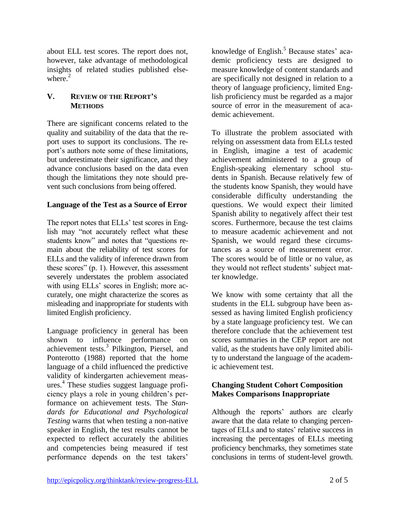about ELL test scores. The report does not, however, take advantage of methodological insights of related studies published elsewhere. $<sup>2</sup>$ </sup>

## **V. REVIEW OF THE REPORT'S METHODS**

There are significant concerns related to the quality and suitability of the data that the report uses to support its conclusions. The report's authors note some of these limitations, but underestimate their significance, and they advance conclusions based on the data even though the limitations they note should prevent such conclusions from being offered.

## **Language of the Test as a Source of Error**

The report notes that ELLs' test scores in English may "not accurately reflect what these students know" and notes that "questions remain about the reliability of test scores for ELLs and the validity of inference drawn from these scores" (p. 1). However, this assessment severely understates the problem associated with using ELLs' scores in English; more accurately, one might characterize the scores as misleading and inappropriate for students with limited English proficiency.

Language proficiency in general has been shown to influence performance on achievement tests.<sup>3</sup> Pilkington, Piersel, and Ponterotto (1988) reported that the home language of a child influenced the predictive validity of kindergarten achievement measures. 4 These studies suggest language proficiency plays a role in young children's performance on achievement tests. The *Standards for Educational and Psychological Testing* warns that when testing a non-native speaker in English, the test results cannot be expected to reflect accurately the abilities and competencies being measured if test performance depends on the test takers'

knowledge of English.<sup>5</sup> Because states' academic proficiency tests are designed to measure knowledge of content standards and are specifically not designed in relation to a theory of language proficiency, limited English proficiency must be regarded as a major source of error in the measurement of academic achievement.

To illustrate the problem associated with relying on assessment data from ELLs tested in English, imagine a test of academic achievement administered to a group of English-speaking elementary school students in Spanish. Because relatively few of the students know Spanish, they would have considerable difficulty understanding the questions. We would expect their limited Spanish ability to negatively affect their test scores. Furthermore, because the test claims to measure academic achievement and not Spanish, we would regard these circumstances as a source of measurement error. The scores would be of little or no value, as they would not reflect students' subject matter knowledge.

We know with some certainty that all the students in the ELL subgroup have been assessed as having limited English proficiency by a state language proficiency test. We can therefore conclude that the achievement test scores summaries in the CEP report are not valid, as the students have only limited ability to understand the language of the academic achievement test.

## **Changing Student Cohort Composition Makes Comparisons Inappropriate**

Although the reports' authors are clearly aware that the data relate to changing percentages of ELLs and to states' relative success in increasing the percentages of ELLs meeting proficiency benchmarks, they sometimes state conclusions in terms of student-level growth.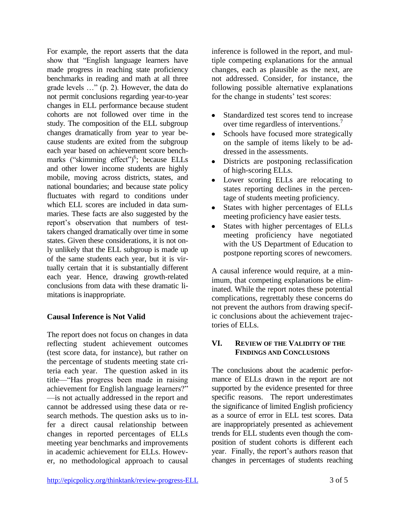For example, the report asserts that the data show that "English language learners have made progress in reaching state proficiency benchmarks in reading and math at all three grade levels …" (p. 2). However, the data do not permit conclusions regarding year-to-year changes in ELL performance because student cohorts are not followed over time in the study. The composition of the ELL subgroup changes dramatically from year to year because students are exited from the subgroup each year based on achievement score benchmarks ("skimming effect")<sup>6</sup>; because ELLs and other lower income students are highly mobile, moving across districts, states, and national boundaries; and because state policy fluctuates with regard to conditions under which ELL scores are included in data summaries. These facts are also suggested by the report's observation that numbers of testtakers changed dramatically over time in some states. Given these considerations, it is not only unlikely that the ELL subgroup is made up of the same students each year, but it is virtually certain that it is substantially different each year. Hence, drawing growth-related conclusions from data with these dramatic limitations is inappropriate.

## **Causal Inference is Not Valid**

The report does not focus on changes in data reflecting student achievement outcomes (test score data, for instance), but rather on the percentage of students meeting state criteria each year. The question asked in its title—"Has progress been made in raising achievement for English language learners?" —is not actually addressed in the report and cannot be addressed using these data or research methods. The question asks us to infer a direct causal relationship between changes in reported percentages of ELLs meeting year benchmarks and improvements in academic achievement for ELLs. However, no methodological approach to causal inference is followed in the report, and multiple competing explanations for the annual changes, each as plausible as the next, are not addressed. Consider, for instance, the following possible alternative explanations for the change in students' test scores:

- $\bullet$ Standardized test scores tend to increase over time regardless of interventions.<sup>7</sup>
- Schools have focused more strategically  $\bullet$ on the sample of items likely to be addressed in the assessments.
- $\bullet$ Districts are postponing reclassification of high-scoring ELLs.
- Lower scoring ELLs are relocating to  $\bullet$ states reporting declines in the percentage of students meeting proficiency.
- States with higher percentages of ELLs  $\bullet$ meeting proficiency have easier tests.
- States with higher percentages of ELLs  $\bullet$ meeting proficiency have negotiated with the US Department of Education to postpone reporting scores of newcomers.

A causal inference would require, at a minimum, that competing explanations be eliminated. While the report notes these potential complications, regrettably these concerns do not prevent the authors from drawing specific conclusions about the achievement trajectories of ELLs.

## **VI. REVIEW OF THE VALIDITY OF THE FINDINGS AND CONCLUSIONS**

The conclusions about the academic performance of ELLs drawn in the report are not supported by the evidence presented for three specific reasons. The report underestimates the significance of limited English proficiency as a source of error in ELL test scores. Data are inappropriately presented as achievement trends for ELL students even though the composition of student cohorts is different each year. Finally, the report's authors reason that changes in percentages of students reaching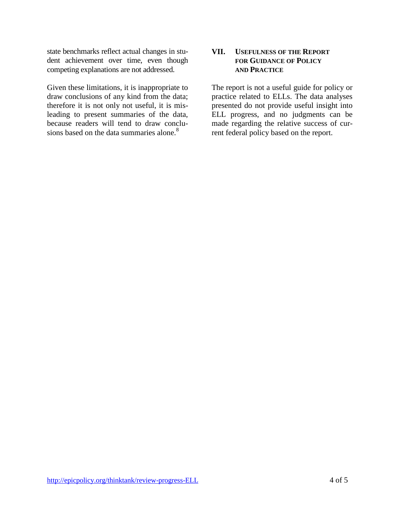state benchmarks reflect actual changes in student achievement over time, even though competing explanations are not addressed.

Given these limitations, it is inappropriate to draw conclusions of any kind from the data; therefore it is not only not useful, it is misleading to present summaries of the data, because readers will tend to draw conclusions based on the data summaries alone.<sup>8</sup>

### **VII. USEFULNESS OF THE REPORT FOR GUIDANCE OF POLICY AND PRACTICE**

The report is not a useful guide for policy or practice related to ELLs. The data analyses presented do not provide useful insight into ELL progress, and no judgments can be made regarding the relative success of current federal policy based on the report.